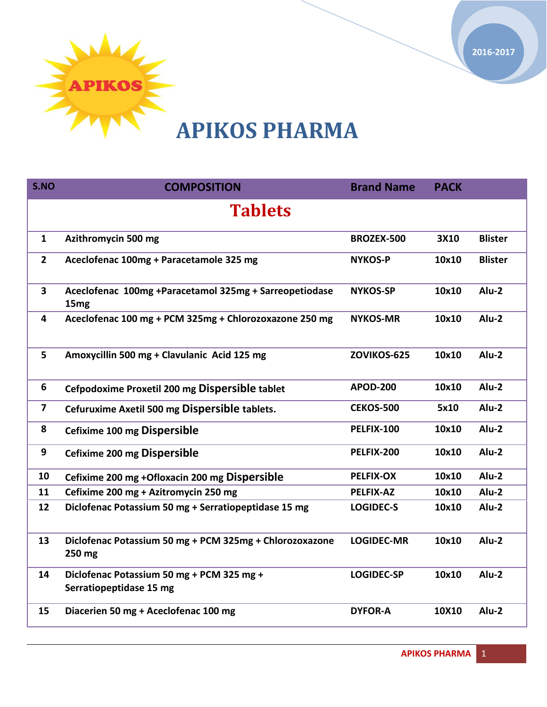

# **APIKOS PHARMA**

| S.NO                    | <b>COMPOSITION</b>                                                         | <b>Brand Name</b> | <b>PACK</b> |                |
|-------------------------|----------------------------------------------------------------------------|-------------------|-------------|----------------|
| <b>Tablets</b>          |                                                                            |                   |             |                |
| $\mathbf{1}$            | Azithromycin 500 mg                                                        | <b>BROZEX-500</b> | 3X10        | <b>Blister</b> |
| $\mathbf{2}$            | Aceclofenac 100mg + Paracetamole 325 mg                                    | <b>NYKOS-P</b>    | 10x10       | <b>Blister</b> |
| $\overline{\mathbf{3}}$ | Aceclofenac 100mg +Paracetamol 325mg + Sarreopetiodase<br>15 <sub>mg</sub> | <b>NYKOS-SP</b>   | 10x10       | $Alu-2$        |
| 4                       | Aceclofenac 100 mg + PCM 325mg + Chlorozoxazone 250 mg                     | <b>NYKOS-MR</b>   | 10x10       | Alu-2          |
| 5                       | Amoxycillin 500 mg + Clavulanic Acid 125 mg                                | ZOVIKOS-625       | 10x10       | $Alu-2$        |
| 6                       | Cefpodoxime Proxetil 200 mg Dispersible tablet                             | <b>APOD-200</b>   | 10x10       | Alu-2          |
| $\overline{\mathbf{z}}$ | Cefuruxime Axetil 500 mg Dispersible tablets.                              | <b>CEKOS-500</b>  | 5x10        | Alu-2          |
| 8                       | Cefixime 100 mg Dispersible                                                | PELFIX-100        | 10x10       | Alu-2          |
| 9                       | Cefixime 200 mg Dispersible                                                | PELFIX-200        | 10x10       | Alu-2          |
| 10                      | Cefixime 200 mg +Ofloxacin 200 mg Dispersible                              | <b>PELFIX-OX</b>  | 10x10       | Alu-2          |
| 11                      | Cefixime 200 mg + Azitromycin 250 mg                                       | <b>PELFIX-AZ</b>  | 10x10       | Alu-2          |
| 12                      | Diclofenac Potassium 50 mg + Serratiopeptidase 15 mg                       | <b>LOGIDEC-S</b>  | 10x10       | Alu-2          |
| 13                      | Diclofenac Potassium 50 mg + PCM 325mg + Chlorozoxazone<br>250 mg          | <b>LOGIDEC-MR</b> | 10x10       | Alu-2          |
| 14                      | Diclofenac Potassium 50 mg + PCM 325 mg +<br>Serratiopeptidase 15 mg       | <b>LOGIDEC-SP</b> | 10x10       | Alu-2          |
| 15                      | Diacerien 50 mg + Aceclofenac 100 mg                                       | <b>DYFOR-A</b>    | 10X10       | Alu-2          |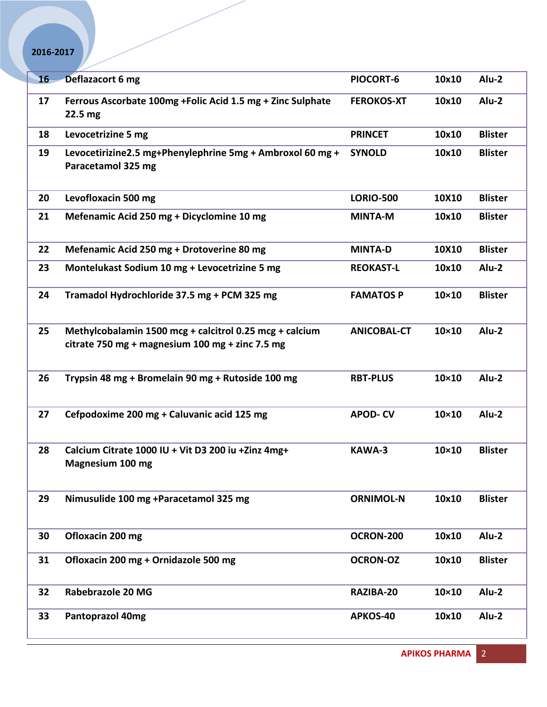| 16 <sub>1</sub> | Deflazacort 6 mg                                                                                           | PIOCORT-6          | 10x10        | Alu-2          |
|-----------------|------------------------------------------------------------------------------------------------------------|--------------------|--------------|----------------|
| 17              | Ferrous Ascorbate 100mg +Folic Acid 1.5 mg + Zinc Sulphate<br>22.5 mg                                      | <b>FEROKOS-XT</b>  | 10x10        | Alu-2          |
| 18              | Levocetrizine 5 mg                                                                                         | <b>PRINCET</b>     | 10x10        | <b>Blister</b> |
| 19              | Levocetirizine2.5 mg+Phenylephrine 5mg + Ambroxol 60 mg +<br>Paracetamol 325 mg                            | <b>SYNOLD</b>      | 10x10        | <b>Blister</b> |
| 20              | Levofloxacin 500 mg                                                                                        | <b>LORIO-500</b>   | 10X10        | <b>Blister</b> |
| 21              | Mefenamic Acid 250 mg + Dicyclomine 10 mg                                                                  | <b>MINTA-M</b>     | 10x10        | <b>Blister</b> |
| 22              | Mefenamic Acid 250 mg + Drotoverine 80 mg                                                                  | <b>MINTA-D</b>     | 10X10        | <b>Blister</b> |
| 23              | Montelukast Sodium 10 mg + Levocetrizine 5 mg                                                              | <b>REOKAST-L</b>   | 10x10        | Alu-2          |
| 24              | Tramadol Hydrochloride 37.5 mg + PCM 325 mg                                                                | <b>FAMATOS P</b>   | $10\times10$ | <b>Blister</b> |
| 25              | Methylcobalamin 1500 mcg + calcitrol 0.25 mcg + calcium<br>citrate 750 mg + magnesium 100 mg + zinc 7.5 mg | <b>ANICOBAL-CT</b> | $10\times10$ | Alu-2          |
| 26              | Trypsin 48 mg + Bromelain 90 mg + Rutoside 100 mg                                                          | <b>RBT-PLUS</b>    | $10\times10$ | Alu-2          |
| 27              | Cefpodoxime 200 mg + Caluvanic acid 125 mg                                                                 | <b>APOD-CV</b>     | $10\times10$ | Alu-2          |
| 28              | Calcium Citrate 1000 IU + Vit D3 200 iu + Zinz 4mg+<br>Magnesium 100 mg                                    | KAWA-3             | $10\times10$ | <b>Blister</b> |
| 29              | Nimusulide 100 mg +Paracetamol 325 mg                                                                      | <b>ORNIMOL-N</b>   | 10x10        | <b>Blister</b> |
| 30              | Ofloxacin 200 mg                                                                                           | OCRON-200          | 10x10        | Alu-2          |
| 31              | Ofloxacin 200 mg + Ornidazole 500 mg                                                                       | <b>OCRON-OZ</b>    | 10x10        | <b>Blister</b> |
| 32              | Rabebrazole 20 MG                                                                                          | RAZIBA-20          | $10\times10$ | Alu-2          |
| 33              | <b>Pantoprazol 40mg</b>                                                                                    | APKOS-40           | 10x10        | Alu-2          |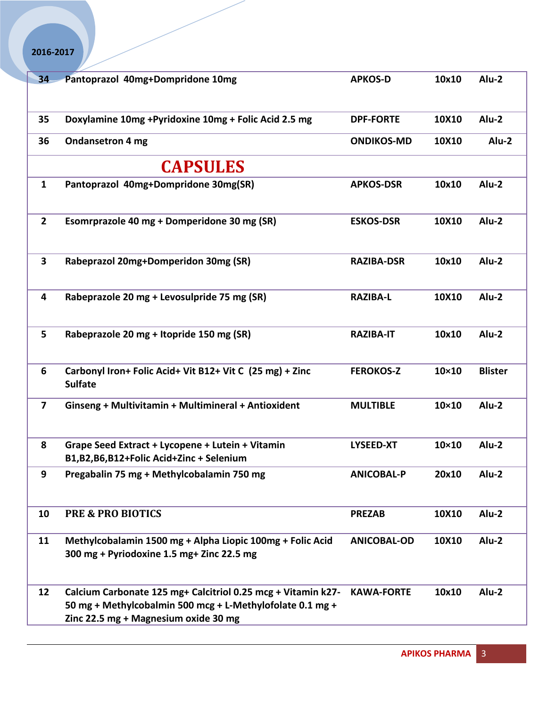| 34                      | Pantoprazol 40mg+Dompridone 10mg                                                                                                                                  | <b>APKOS-D</b>     | 10x10        | Alu-2          |
|-------------------------|-------------------------------------------------------------------------------------------------------------------------------------------------------------------|--------------------|--------------|----------------|
|                         |                                                                                                                                                                   |                    |              |                |
| 35                      | Doxylamine 10mg +Pyridoxine 10mg + Folic Acid 2.5 mg                                                                                                              | <b>DPF-FORTE</b>   | 10X10        | Alu-2          |
|                         |                                                                                                                                                                   |                    |              |                |
| 36                      | <b>Ondansetron 4 mg</b>                                                                                                                                           | <b>ONDIKOS-MD</b>  | 10X10        | Alu-2          |
|                         | <b>CAPSULES</b>                                                                                                                                                   |                    |              |                |
| $\mathbf{1}$            | Pantoprazol 40mg+Dompridone 30mg(SR)                                                                                                                              | <b>APKOS-DSR</b>   | 10x10        | $Alu-2$        |
| $\overline{2}$          | Esomrprazole 40 mg + Domperidone 30 mg (SR)                                                                                                                       | <b>ESKOS-DSR</b>   | 10X10        | $Alu-2$        |
| $\mathbf{3}$            | Rabeprazol 20mg+Domperidon 30mg (SR)                                                                                                                              | <b>RAZIBA-DSR</b>  | 10x10        | $Alu-2$        |
| 4                       | Rabeprazole 20 mg + Levosulpride 75 mg (SR)                                                                                                                       | <b>RAZIBA-L</b>    | 10X10        | Alu-2          |
| 5 <sup>1</sup>          | Rabeprazole 20 mg + Itopride 150 mg (SR)                                                                                                                          | <b>RAZIBA-IT</b>   | 10x10        | $Alu-2$        |
| 6                       | Carbonyl Iron+ Folic Acid+ Vit B12+ Vit C (25 mg) + Zinc<br><b>Sulfate</b>                                                                                        | <b>FEROKOS-Z</b>   | 10×10        | <b>Blister</b> |
| $\overline{\mathbf{z}}$ | Ginseng + Multivitamin + Multimineral + Antioxident                                                                                                               | <b>MULTIBLE</b>    | $10\times10$ | Alu-2          |
| 8                       | Grape Seed Extract + Lycopene + Lutein + Vitamin<br>B1,B2,B6,B12+Folic Acid+Zinc + Selenium                                                                       | <b>LYSEED-XT</b>   | $10\times10$ | Alu-2          |
| 9                       | Pregabalin 75 mg + Methylcobalamin 750 mg                                                                                                                         | <b>ANICOBAL-P</b>  | 20x10        | Alu-2          |
| 10                      | <b>PRE &amp; PRO BIOTICS</b>                                                                                                                                      | <b>PREZAB</b>      | 10X10        | Alu-2          |
| 11                      | Methylcobalamin 1500 mg + Alpha Liopic 100mg + Folic Acid<br>300 mg + Pyriodoxine 1.5 mg+ Zinc 22.5 mg                                                            | <b>ANICOBAL-OD</b> | 10X10        | Alu-2          |
| 12                      | Calcium Carbonate 125 mg+ Calcitriol 0.25 mcg + Vitamin k27-<br>50 mg + Methylcobalmin 500 mcg + L-Methylofolate 0.1 mg +<br>Zinc 22.5 mg + Magnesium oxide 30 mg | <b>KAWA-FORTE</b>  | 10x10        | Alu-2          |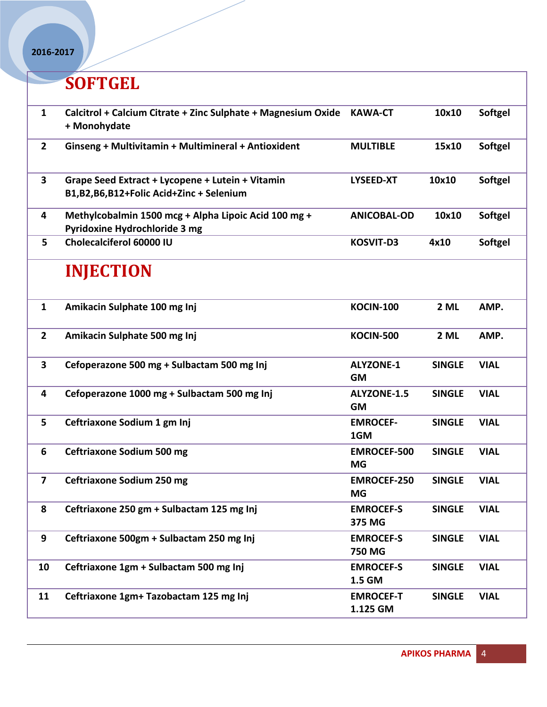## **SOFTGEL**

| $\mathbf{1}$<br>Calcitrol + Calcium Citrate + Zinc Sulphate + Magnesium Oxide<br><b>KAWA-CT</b><br>+ Monohydate                          | <b>Softgel</b><br>10x10      |
|------------------------------------------------------------------------------------------------------------------------------------------|------------------------------|
| $2^{\circ}$<br><b>MULTIBLE</b><br>Ginseng + Multivitamin + Multimineral + Antioxident                                                    | <b>Softgel</b><br>15x10      |
| $\mathbf{3}$<br>10x10<br>Grape Seed Extract + Lycopene + Lutein + Vitamin<br><b>LYSEED-XT</b><br>B1,B2,B6,B12+Folic Acid+Zinc + Selenium | <b>Softgel</b>               |
| Methylcobalmin 1500 mcg + Alpha Lipoic Acid 100 mg +<br>4<br><b>ANICOBAL-OD</b><br>Pyridoxine Hydrochloride 3 mg                         | 10x10<br><b>Softgel</b>      |
| Cholecalciferol 60000 IU<br>5<br><b>KOSVIT-D3</b><br>4x10                                                                                | <b>Softgel</b>               |
| <b>INJECTION</b>                                                                                                                         |                              |
| $\mathbf{1}$<br><b>KOCIN-100</b><br>Amikacin Sulphate 100 mg Inj                                                                         | 2 ML<br>AMP.                 |
| $\overline{2}$<br>Amikacin Sulphate 500 mg Inj<br><b>KOCIN-500</b>                                                                       | 2 ML<br>AMP.                 |
| $\mathbf{3}$<br>Cefoperazone 500 mg + Sulbactam 500 mg Inj<br><b>ALYZONE-1</b><br><b>GM</b>                                              | <b>SINGLE</b><br><b>VIAL</b> |
| Cefoperazone 1000 mg + Sulbactam 500 mg Inj<br>ALYZONE-1.5<br>4<br><b>GM</b>                                                             | <b>SINGLE</b><br><b>VIAL</b> |
| 5<br>Ceftriaxone Sodium 1 gm Inj<br><b>EMROCEF-</b><br>1GM                                                                               | <b>SINGLE</b><br><b>VIAL</b> |
| 6<br><b>Ceftriaxone Sodium 500 mg</b><br><b>EMROCEF-500</b><br><b>MG</b>                                                                 | <b>SINGLE</b><br><b>VIAL</b> |
| $\overline{\mathbf{z}}$<br><b>Ceftriaxone Sodium 250 mg</b><br><b>EMROCEF-250</b><br><b>MG</b>                                           | <b>SINGLE</b><br><b>VIAL</b> |
| 8<br>Ceftriaxone 250 gm + Sulbactam 125 mg Inj<br><b>EMROCEF-S</b><br>375 MG                                                             | <b>SINGLE</b><br><b>VIAL</b> |
| 9<br>Ceftriaxone 500gm + Sulbactam 250 mg Inj<br><b>EMROCEF-S</b><br>750 MG                                                              | <b>VIAL</b><br><b>SINGLE</b> |
| Ceftriaxone 1gm + Sulbactam 500 mg Inj<br>10<br><b>EMROCEF-S</b><br>1.5 GM                                                               | <b>SINGLE</b><br><b>VIAL</b> |
| Ceftriaxone 1gm+ Tazobactam 125 mg Inj<br>11<br><b>EMROCEF-T</b><br>1.125 GM                                                             | <b>VIAL</b><br><b>SINGLE</b> |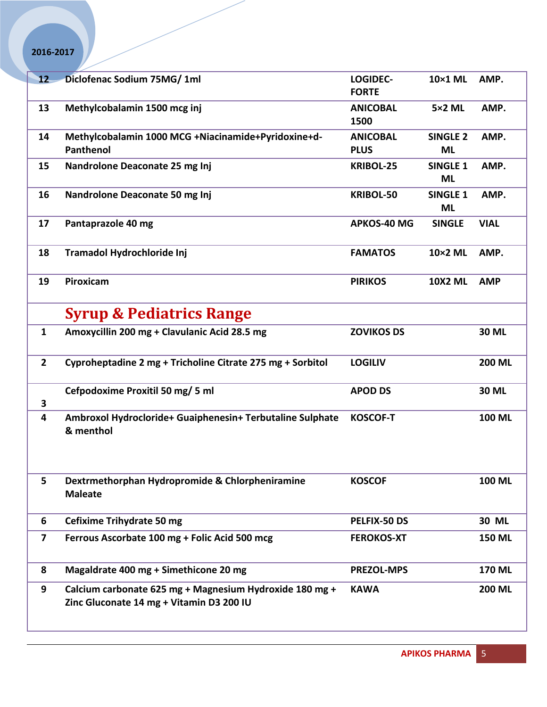| 12                      | Diclofenac Sodium 75MG/ 1ml                                                                         | LOGIDEC-<br><b>FORTE</b> | 10×1 ML                      | AMP.          |
|-------------------------|-----------------------------------------------------------------------------------------------------|--------------------------|------------------------------|---------------|
| 13                      | Methylcobalamin 1500 mcg inj                                                                        | <b>ANICOBAL</b><br>1500  | <b>5×2 ML</b>                | AMP.          |
| 14                      | Methylcobalamin 1000 MCG +Niacinamide+Pyridoxine+d-                                                 | <b>ANICOBAL</b>          | <b>SINGLE 2</b>              | AMP.          |
|                         | Panthenol                                                                                           | <b>PLUS</b>              | <b>ML</b>                    |               |
| 15                      | Nandrolone Deaconate 25 mg Inj                                                                      | <b>KRIBOL-25</b>         | <b>SINGLE 1</b><br><b>ML</b> | AMP.          |
| 16                      | Nandrolone Deaconate 50 mg Inj                                                                      | <b>KRIBOL-50</b>         | <b>SINGLE 1</b><br><b>ML</b> | AMP.          |
| 17                      | Pantaprazole 40 mg                                                                                  | <b>APKOS-40 MG</b>       | <b>SINGLE</b>                | <b>VIAL</b>   |
| 18                      | Tramadol Hydrochloride Inj                                                                          | <b>FAMATOS</b>           | 10×2 ML                      | AMP.          |
| 19                      | Piroxicam                                                                                           | <b>PIRIKOS</b>           | <b>10X2 ML</b>               | <b>AMP</b>    |
|                         | <b>Syrup &amp; Pediatrics Range</b>                                                                 |                          |                              |               |
| $\mathbf{1}$            | Amoxycillin 200 mg + Clavulanic Acid 28.5 mg                                                        | <b>ZOVIKOS DS</b>        |                              | 30 ML         |
| $\overline{\mathbf{2}}$ | Cyproheptadine 2 mg + Tricholine Citrate 275 mg + Sorbitol                                          | <b>LOGILIV</b>           |                              | <b>200 ML</b> |
| 3                       | Cefpodoxime Proxitil 50 mg/ 5 ml                                                                    | <b>APOD DS</b>           |                              | <b>30 ML</b>  |
| 4                       | Ambroxol Hydrocloride+ Guaiphenesin+ Terbutaline Sulphate<br>& menthol                              | <b>KOSCOF-T</b>          |                              | 100 ML        |
| 5                       | Dextrmethorphan Hydropromide & Chlorpheniramine<br><b>Maleate</b>                                   | <b>KOSCOF</b>            |                              | 100 ML        |
| 6                       | <b>Cefixime Trihydrate 50 mg</b>                                                                    | PELFIX-50 DS             |                              | 30 ML         |
| 7                       | Ferrous Ascorbate 100 mg + Folic Acid 500 mcg                                                       | <b>FEROKOS-XT</b>        |                              | <b>150 ML</b> |
| 8                       | Magaldrate 400 mg + Simethicone 20 mg                                                               | <b>PREZOL-MPS</b>        |                              | <b>170 ML</b> |
| 9                       | Calcium carbonate 625 mg + Magnesium Hydroxide 180 mg +<br>Zinc Gluconate 14 mg + Vitamin D3 200 IU | <b>KAWA</b>              |                              | <b>200 ML</b> |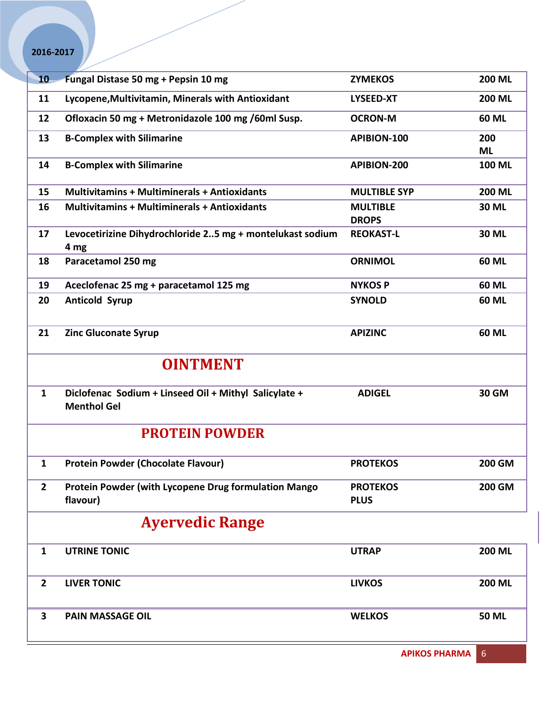| 10             | Fungal Distase 50 mg + Pepsin 10 mg                                         | <b>ZYMEKOS</b>      | <b>200 ML</b> |  |
|----------------|-----------------------------------------------------------------------------|---------------------|---------------|--|
| 11             | Lycopene, Multivitamin, Minerals with Antioxidant                           | <b>LYSEED-XT</b>    | <b>200 ML</b> |  |
| 12             | Ofloxacin 50 mg + Metronidazole 100 mg /60ml Susp.                          | <b>OCRON-M</b>      | 60 ML         |  |
| 13             | <b>B-Complex with Silimarine</b>                                            | APIBION-100         | 200           |  |
|                |                                                                             |                     | <b>ML</b>     |  |
| 14             | <b>B-Complex with Silimarine</b>                                            | APIBION-200         | 100 ML        |  |
| 15             | <b>Multivitamins + Multiminerals + Antioxidants</b>                         | <b>MULTIBLE SYP</b> | <b>200 ML</b> |  |
| 16             | <b>Multivitamins + Multiminerals + Antioxidants</b>                         | <b>MULTIBLE</b>     | 30 ML         |  |
|                |                                                                             | <b>DROPS</b>        |               |  |
| 17             | Levocetirizine Dihydrochloride 25 mg + montelukast sodium                   | <b>REOKAST-L</b>    | <b>30 ML</b>  |  |
| 18             | 4 mg<br>Paracetamol 250 mg                                                  | <b>ORNIMOL</b>      | <b>60 ML</b>  |  |
|                |                                                                             |                     |               |  |
| 19             | Aceclofenac 25 mg + paracetamol 125 mg                                      | <b>NYKOS P</b>      | <b>60 ML</b>  |  |
| 20             | <b>Anticold Syrup</b>                                                       | <b>SYNOLD</b>       | <b>60 ML</b>  |  |
|                |                                                                             |                     |               |  |
| 21             | <b>Zinc Gluconate Syrup</b>                                                 | <b>APIZINC</b>      | 60 ML         |  |
|                |                                                                             |                     |               |  |
|                | <b>OINTMENT</b>                                                             |                     |               |  |
| $\mathbf{1}$   | Diclofenac Sodium + Linseed Oil + Mithyl Salicylate +<br><b>Menthol Gel</b> | <b>ADIGEL</b>       | <b>30 GM</b>  |  |
|                | <b>PROTEIN POWDER</b>                                                       |                     |               |  |
| 1              | <b>Protein Powder (Chocolate Flavour)</b>                                   | <b>PROTEKOS</b>     | <b>200 GM</b> |  |
| $\overline{2}$ | Protein Powder (with Lycopene Drug formulation Mango                        | <b>PROTEKOS</b>     | 200 GM        |  |
|                | flavour)                                                                    | <b>PLUS</b>         |               |  |
|                | <b>Ayervedic Range</b>                                                      |                     |               |  |
| $\mathbf{1}$   | <b>UTRINE TONIC</b>                                                         | <b>UTRAP</b>        | <b>200 ML</b> |  |
|                |                                                                             |                     |               |  |
| $\overline{2}$ | <b>LIVER TONIC</b>                                                          | <b>LIVKOS</b>       | <b>200 ML</b> |  |
|                |                                                                             |                     |               |  |
| 3              | <b>PAIN MASSAGE OIL</b>                                                     | <b>WELKOS</b>       | <b>50 ML</b>  |  |
|                |                                                                             |                     |               |  |